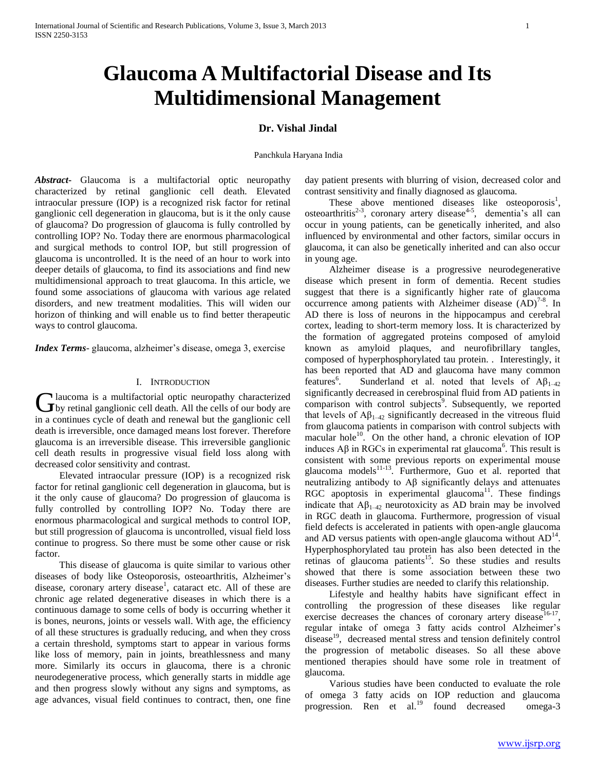# **Glaucoma A Multifactorial Disease and Its Multidimensional Management**

# **Dr. Vishal Jindal**

## Panchkula Haryana India

*Abstract***-** Glaucoma is a multifactorial optic neuropathy characterized by retinal ganglionic cell death. Elevated intraocular pressure (IOP) is a recognized risk factor for retinal ganglionic cell degeneration in glaucoma, but is it the only cause of glaucoma? Do progression of glaucoma is fully controlled by controlling IOP? No. Today there are enormous pharmacological and surgical methods to control IOP, but still progression of glaucoma is uncontrolled. It is the need of an hour to work into deeper details of glaucoma, to find its associations and find new multidimensional approach to treat glaucoma. In this article, we found some associations of glaucoma with various age related disorders, and new treatment modalities. This will widen our horizon of thinking and will enable us to find better therapeutic ways to control glaucoma.

*Index Terms*- glaucoma, alzheimer's disease, omega 3, exercise

# I. INTRODUCTION

laucoma is a multifactorial optic neuropathy characterized Glaucoma is a multifactorial optic neuropathy characterized<br>by retinal ganglionic cell death. All the cells of our body are in a continues cycle of death and renewal but the ganglionic cell death is irreversible, once damaged means lost forever. Therefore glaucoma is an irreversible disease. This irreversible ganglionic cell death results in progressive visual field loss along with decreased color sensitivity and contrast.

 Elevated intraocular pressure (IOP) is a recognized risk factor for retinal ganglionic cell degeneration in glaucoma, but is it the only cause of glaucoma? Do progression of glaucoma is fully controlled by controlling IOP? No. Today there are enormous pharmacological and surgical methods to control IOP, but still progression of glaucoma is uncontrolled, visual field loss continue to progress. So there must be some other cause or risk factor.

 This disease of glaucoma is quite similar to various other diseases of body like Osteoporosis, osteoarthritis, Alzheimer's disease, coronary artery disease<sup>1</sup>, cataract etc. All of these are chronic age related degenerative diseases in which there is a continuous damage to some cells of body is occurring whether it is bones, neurons, joints or vessels wall. With age, the efficiency of all these structures is gradually reducing, and when they cross a certain threshold, symptoms start to appear in various forms like loss of memory, pain in joints, breathlessness and many more. Similarly its occurs in glaucoma, there is a chronic neurodegenerative process, which generally starts in middle age and then progress slowly without any signs and symptoms, as age advances, visual field continues to contract, then, one fine

day patient presents with blurring of vision, decreased color and contrast sensitivity and finally diagnosed as glaucoma.

These above mentioned diseases like osteoporosis<sup>1</sup>, osteoarthritis<sup>2-3</sup>, coronary artery disease<sup>4-5</sup>, dementia's all can occur in young patients, can be genetically inherited, and also influenced by environmental and other factors, similar occurs in glaucoma, it can also be genetically inherited and can also occur in young age.

 Alzheimer disease is a progressive neurodegenerative disease which present in form of dementia. Recent studies suggest that there is a significantly higher rate of glaucoma occurrence among patients with Alzheimer disease  $(AD)^{7-8}$ . In AD there is loss of neurons in the hippocampus and cerebral cortex, leading to short-term memory loss. It is characterized by the formation of aggregated proteins composed of amyloid known as amyloid plaques, and neurofibrillary tangles, composed of hyperphosphorylated tau protein. . Interestingly, it has been reported that AD and glaucoma have many common features<sup>6</sup>. Sunderland et al. noted that levels of  $A\beta_{1-42}$ significantly decreased in cerebrospinal fluid from AD patients in comparison with control subjects<sup>9</sup>. Subsequently, we reported that levels of  $A\beta_{1-42}$  significantly decreased in the vitreous fluid from glaucoma patients in comparison with control subjects with macular hole<sup>10</sup>. On the other hand, a chronic elevation of IOP induces  $\text{A}\beta$  in RGCs in experimental rat glaucoma<sup>6</sup>. This result is consistent with some previous reports on experimental mouse glaucoma models<sup>11-13</sup>. Furthermore, Guo et al. reported that neutralizing antibody to Aβ significantly delays and attenuates RGC apoptosis in experimental glaucoma<sup>11</sup>. These findings indicate that  $A\beta_{1-42}$  neurotoxicity as AD brain may be involved in RGC death in glaucoma. Furthermore, progression of visual field defects is accelerated in patients with open-angle glaucoma and AD versus patients with open-angle glaucoma without  $AD<sup>14</sup>$ . Hyperphosphorylated tau protein has also been detected in the retinas of glaucoma patients<sup>15</sup>. So these studies and results showed that there is some association between these two diseases. Further studies are needed to clarify this relationship.

 Lifestyle and healthy habits have significant effect in controlling the progression of these diseases like regular exercise decreases the chances of coronary artery disease<sup>16-17</sup>, regular intake of omega 3 fatty acids control Alzheimer's disease<sup>19</sup>, decreased mental stress and tension definitely control the progression of metabolic diseases. So all these above mentioned therapies should have some role in treatment of glaucoma.

 Various studies have been conducted to evaluate the role of omega 3 fatty acids on IOP reduction and glaucoma progression. Ren et al.<sup>19</sup> found decreased omega-3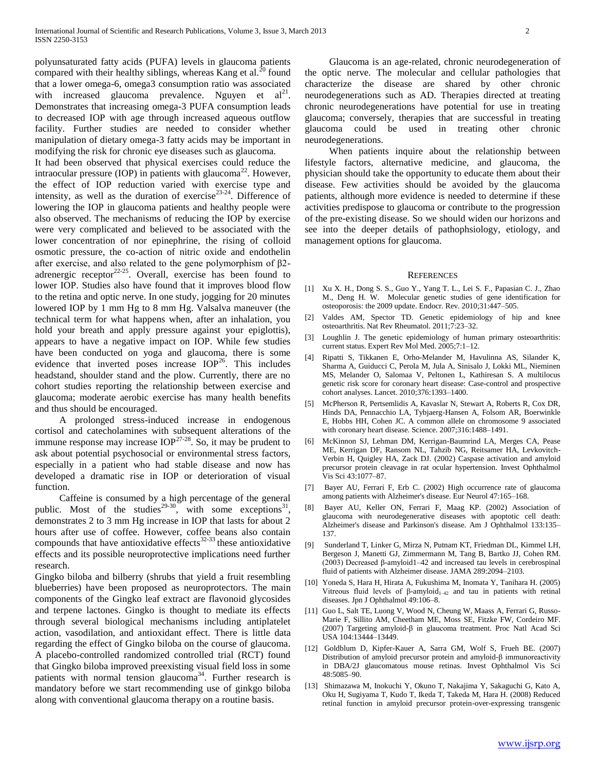polyunsaturated fatty acids (PUFA) levels in glaucoma patients compared with their healthy siblings, whereas Kang et al. $^{20}$  found that a lower omega-6, omega3 consumption ratio was associated with increased glaucoma prevalence. Nguyen et  $al^{21}$ . Demonstrates that increasing omega-3 PUFA consumption leads to decreased IOP with age through increased aqueous outflow facility. Further studies are needed to consider whether manipulation of dietary omega-3 fatty acids may be important in modifying the risk for chronic eye diseases such as glaucoma.

It had been observed that physical exercises could reduce the intraocular pressure (IOP) in patients with glaucoma<sup>22</sup>. However, the effect of IOP reduction varied with exercise type and intensity, as well as the duration of exercise<sup>23-24</sup>. Difference of lowering the IOP in glaucoma patients and healthy people were also observed. The mechanisms of reducing the IOP by exercise were very complicated and believed to be associated with the lower concentration of nor epinephrine, the rising of colloid osmotic pressure, the co-action of nitric oxide and endothelin after exercise, and also related to the gene polymorphism of β2 adrenergic receptor<sup>22-25</sup>. Overall, exercise has been found to lower IOP. Studies also have found that it improves blood flow to the retina and optic nerve. In one study, jogging for 20 minutes lowered IOP by 1 mm Hg to 8 mm Hg. Valsalva maneuver (the technical term for what happens when, after an inhalation, you hold your breath and apply pressure against your epiglottis), appears to have a negative impact on IOP. While few studies have been conducted on yoga and glaucoma, there is some evidence that inverted poses increase  $IOP<sup>26</sup>$ . This includes headstand, shoulder stand and the plow. Currently, there are no cohort studies reporting the relationship between exercise and glaucoma; moderate aerobic exercise has many health benefits and thus should be encouraged.

 A prolonged stress-induced increase in endogenous cortisol and catecholamines with subsequent alterations of the immune response may increase  $IOP<sup>27-28</sup>$ . So, it may be prudent to ask about potential psychosocial or environmental stress factors, especially in a patient who had stable disease and now has developed a dramatic rise in IOP or deterioration of visual function.

 Caffeine is consumed by a high percentage of the general public. Most of the studies<sup>29-30</sup>, with some exceptions<sup>31</sup>, demonstrates 2 to 3 mm Hg increase in IOP that lasts for about 2 hours after use of coffee. However, coffee beans also contain compounds that have antioxidative effects $32-33$  these antioxidative effects and its possible neuroprotective implications need further research.

Gingko biloba and bilberry (shrubs that yield a fruit resembling blueberries) have been proposed as neuroprotectors. The main components of the Gingko leaf extract are flavonoid glycosides and terpene lactones. Gingko is thought to mediate its effects through several biological mechanisms including antiplatelet action, vasodilation, and antioxidant effect. There is little data regarding the effect of Gingko biloba on the course of glaucoma. A placebo-controlled randomized controlled trial (RCT) found that Gingko biloba improved preexisting visual field loss in some patients with normal tension glaucoma<sup>34</sup>. Further research is mandatory before we start recommending use of ginkgo biloba along with conventional glaucoma therapy on a routine basis.

 Glaucoma is an age-related, chronic neurodegeneration of the optic nerve. The molecular and cellular pathologies that characterize the disease are shared by other chronic neurodegenerations such as AD. Therapies directed at treating chronic neurodegenerations have potential for use in treating glaucoma; conversely, therapies that are successful in treating glaucoma could be used in treating other chronic neurodegenerations.

 When patients inquire about the relationship between lifestyle factors, alternative medicine, and glaucoma, the physician should take the opportunity to educate them about their disease. Few activities should be avoided by the glaucoma patients, although more evidence is needed to determine if these activities predispose to glaucoma or contribute to the progression of the pre-existing disease. So we should widen our horizons and see into the deeper details of pathophsiology, etiology, and management options for glaucoma.

#### **REFERENCES**

- [1] Xu X. H., Dong S. S., Guo Y., Yang T. L., Lei S. F., Papasian C. J., Zhao M., Deng H. W. Molecular genetic studies of gene identification for osteoporosis: the 2009 update. Endocr. Rev. 2010;31:447–505.
- [2] Valdes AM, Spector TD. Genetic epidemiology of hip and knee osteoarthritis. Nat Rev Rheumatol. 2011;7:23–32.
- [3] Loughlin J. The genetic epidemiology of human primary osteoarthritis: current status. Expert Rev Mol Med. 2005;7:1–12.
- [4] Ripatti S, Tikkanen E, Orho-Melander M, Havulinna AS, Silander K, Sharma A, Guiducci C, Perola M, Jula A, Sinisalo J, Lokki ML, Nieminen MS, Melander O, Salomaa V, Peltonen L, Kathiresan S. A multilocus genetic risk score for coronary heart disease: Case-control and prospective cohort analyses. Lancet. 2010;376:1393–1400.
- [5] McPherson R, Pertsemlidis A, Kavaslar N, Stewart A, Roberts R, Cox DR, Hinds DA, Pennacchio LA, Tybjaerg-Hansen A, Folsom AR, Boerwinkle E, Hobbs HH, Cohen JC. A common allele on chromosome 9 associated with coronary heart disease. Science. 2007;316:1488–1491.
- [6] McKinnon SJ, Lehman DM, Kerrigan-Baumrind LA, Merges CA, Pease ME, Kerrigan DF, Ransom NL, Tahzib NG, Reitsamer HA, Levkovitch-Verbin H, Quigley HA, Zack DJ. (2002) Caspase activation and amyloid precursor protein cleavage in rat ocular hypertension. Invest Ophthalmol Vis Sci 43:1077–87.
- [7] Bayer AU, Ferrari F, Erb C. (2002) High occurrence rate of glaucoma among patients with Alzheimer's disease. Eur Neurol 47:165–168.
- [8] Bayer AU, Keller ON, Ferrari F, Maag KP. (2002) Association of glaucoma with neurodegenerative diseases with apoptotic cell death: Alzheimer's disease and Parkinson's disease. Am J Ophthalmol 133:135– 137.
- [9] Sunderland T, Linker G, Mirza N, Putnam KT, Friedman DL, Kimmel LH, Bergeson J, Manetti GJ, Zimmermann M, Tang B, Bartko JJ, Cohen RM. (2003) Decreased β-amyloid1–42 and increased tau levels in cerebrospinal fluid of patients with Alzheimer disease. JAMA 289:2094–2103.
- [10] Yoneda S, Hara H, Hirata A, Fukushima M, Inomata Y, Tanihara H. (2005) Vitreous fluid levels of  $\beta$ -amyloid<sub>1-42</sub> and tau in patients with retinal diseases. Jpn J Ophthalmol 49:106–8.
- [11] Guo L, Salt TE, Luong V, Wood N, Cheung W, Maass A, Ferrari G, Russo-Marie F, Sillito AM, Cheetham ME, Moss SE, Fitzke FW, Cordeiro MF. (2007) Targeting amyloid-β in glaucoma treatment. Proc Natl Acad Sci USA 104:13444–13449.
- [12] Goldblum D, Kipfer-Kauer A, Sarra GM, Wolf S, Frueh BE. (2007) Distribution of amyloid precursor protein and amyloid-β immunoreactivity in DBA/2J glaucomatous mouse retinas. Invest Ophthalmol Vis Sci 48:5085–90.
- [13] Shimazawa M, Inokuchi Y, Okuno T, Nakajima Y, Sakaguchi G, Kato A, Oku H, Sugiyama T, Kudo T, Ikeda T, Takeda M, Hara H. (2008) Reduced retinal function in amyloid precursor protein-over-expressing transgenic